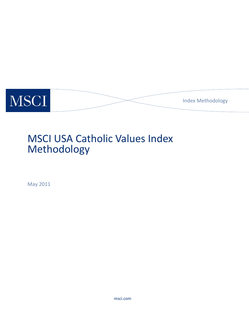

# MSCI USA Catholic Values Index Methodology

May 2011

msci.com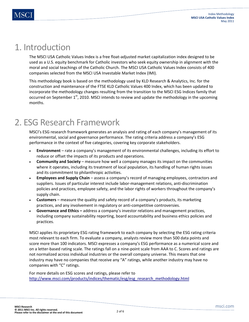### 1. Introduction

The MSCI USA Catholic Values Index is a free float-adjusted market capitalization index designed to be used as a U.S. equity benchmark for Catholic investors who seek equity ownership in alignment with the moral and social teachings of the Catholic Church. The MSCI USA Catholic Values Index consists of 400 companies selected from the MSCI USA Investable Market Index (IMI).

This methodology book is based on the methodology used by KLD Research & Analytics, Inc. for the construction and maintenance of the FTSE KLD Catholic Values 400 Index, which has been updated to incorporate the methodology changes resulting from the transition to the MSCI ESG Indices family that occurred on September  $1<sup>st</sup>$ , 2010. MSCI intends to review and update the methodology in the upcoming months.

## 2. ESG Research Framework

MSCI's ESG research framework generates an analysis and rating of each company's management of its environmental, social and governance performance. The rating criteria address a company's ESG performance in the context of five categories, covering key corporate stakeholders.

- **Environment**  rate a company's management of its environmental challenges, including its effort to reduce or offset the impacts of its products and operations.
- **Community and Society** measure how well a company manages its impact on the communities where it operates, including its treatment of local population, its handling of human rights issues and its commitment to philanthropic activities.
- **Employees and Supply Chain** assess a company's record of managing employees, contractors and suppliers. Issues of particular interest include labor-management relations, anti-discrimination policies and practices, employee safety, and the labor rights of workers throughout the company's supply chain.
- **Customers** measure the quality and safety record of a company's products, its marketing practices, and any involvement in regulatory or anti-competitive controversies.
- **Governance and Ethics** address a company's investor relations and management practices, including company sustainability reporting, board accountability and business ethics policies and practices.

MSCI applies its proprietary ESG rating framework to each company by selecting the ESG rating criteria most relevant to each firm. To evaluate a company, analysts review more than 500 data points and score more than 100 indicators. MSCI expresses a company's ESG performance as a numerical score and on a letter-based rating scale. The ratings fall on a nine-point scale from AAA to C. Scores and ratings are not normalized across individual industries or the overall company universe. This means that one industry may have no companies that receive any "A" ratings, while another industry may have no companies with "C" ratings.

For more details on ESG scores and ratings, please refer to http://www.msci.com/products/indices/thematic/esg/esg\_research\_methodology.html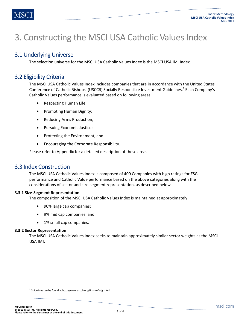## 3. Constructing the MSCI USA Catholic Values Index

### 3.1 Underlying Universe

The selection universe for the MSCI USA Catholic Values Index is the MSCI USA IMI Index.

### 3.2 Eligibility Criteria

The MSCI USA Catholic Values Index includes companies that are in accordance with the United States Conference of Catholic Bishops' (USCCB) Socially Responsible Investment Guidelines.<sup>1</sup> Each Company's Catholic Values performance is evaluated based on following areas:

- Respecting Human Life;
- Promoting Human Dignity;
- Reducing Arms Production;
- Pursuing Economic Justice;
- Protecting the Environment; and
- Encouraging the Corporate Responsibility.

Please refer to Appendix for a detailed description of these areas

#### 3.3 Index Construction

The MSCI USA Catholic Values Index is composed of 400 Companies with high ratings for ESG performance and Catholic Value performance based on the above categories along with the considerations of sector and size-segment representation, as described below.

#### **3.3.1 Size-Segment Representation**

The composition of the MSCI USA Catholic Values Index is maintained at approximately:

- 90% large cap companies;
- 9% mid cap companies; and
- 1% small cap companies.

#### **3.3.2 Sector Representation**

**.** 

The MSCI USA Catholic Values Index seeks to maintain approximately similar sector weights as the MSCI USA IMI.

<sup>&</sup>lt;sup>1</sup> Guidelines can be found at http://www.usccb.org/finance/srig.shtml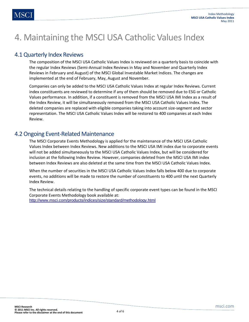## 4. Maintaining the MSCI USA Catholic Values Index

### 4.1 Quarterly Index Reviews

The composition of the MSCI USA Catholic Values Index is reviewed on a quarterly basis to coincide with the regular Index Reviews (Semi-Annual Index Reviews in May and November and Quarterly Index Reviews in February and August) of the MSCI Global Investable Market Indices. The changes are implemented at the end of February, May, August and November.

Companies can only be added to the MSCI USA Catholic Values Index at regular Index Reviews. Current index constituents are reviewed to determine if any of them should be removed due to ESG or Catholic Values performance. In addition, if a constituent is removed from the MSCI USA IMI Index as a result of the Index Review, it will be simultaneously removed from the MSCI USA Catholic Values Index. The deleted companies are replaced with eligible companies taking into account size-segment and sector representation. The MSCI USA Catholic Values Index will be restored to 400 companies at each Index Review.

### 4.2 Ongoing Event-Related Maintenance

The MSCI Corporate Events Methodology is applied for the maintenance of the MSCI USA Catholic Values Index between Index Reviews. New additions to the MSCI USA IMI index due to corporate events will not be added simultaneously to the MSCI USA Catholic Values Index, but will be considered for inclusion at the following Index Review. However, companies deleted from the MSCI USA IMI index between Index Reviews are also deleted at the same time from the MSCI USA Catholic Values Index.

When the number of securities in the MSCI USA Catholic Values Index falls below 400 due to corporate events, no additions will be made to restore the number of constituents to 400 until the next Quarterly Index Review.

The technical details relating to the handling of specific corporate event types can be found in the MSCI Corporate Events Methodology book available at: http://www.msci.com/products/indices/size/standard/methodology.html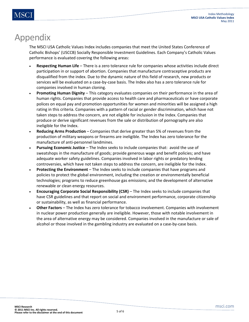### Appendix

The MSCI USA Catholic Values Index includes companies that meet the United States Conference of Catholic Bishops' (USCCB) Socially Responsible Investment Guidelines. Each Company's Catholic Values performance is evaluated covering the following areas:

- **Respecting Human Life** There is a zero tolerance rule for companies whose activities include direct participation in or support of abortion. Companies that manufacture contraceptive products are disqualified from the index. Due to the dynamic nature of this field of research, new products or services will be evaluated on a case-by-case basis. The Index also has a zero tolerance rule for companies involved in human cloning.
- **Promoting Human Dignity** This category evaluates companies on their performance in the area of human rights. Companies that provide access to health care and pharmaceuticals or have corporate polices on equal pay and promotion opportunities for women and minorities will be assigned a high rating in this criteria. Companies with a pattern of racial or gender discrimination, which have not taken steps to address the concern, are not eligible for inclusion in the Index. Companies that produce or derive significant revenues from the sale or distribution of pornography are also ineligible for the Index.
- **Reducing Arms Production** Companies that derive greater than 5% of revenues from the production of military weapons or firearms are ineligible. The Index has zero tolerance for the manufacture of anti-personnel landmines.
- **Pursuing Economic Justice** The Index seeks to include companies that: avoid the use of sweatshops in the manufacture of goods; provide generous wage and benefit policies; and have adequate worker safety guidelines. Companies involved in labor rights or predatory lending controversies, which have not taken steps to address the concern, are ineligible for the Index.
- **Protecting the Environment** The Index seeks to include companies that have programs and policies to protect the global environment, including the creation or environmentally beneficial technologies; programs to reduce greenhouse gas emissions; and the development of alternative renewable or clean energy resources.
- **Encouraging Corporate Social Responsibility (CSR)** The Index seeks to include companies that have CSR guidelines and that report on social and environment performance, corporate citizenship or sustainability, as well as financial performance.
- **Other Factors** The Index has zero tolerance for tobacco involvement. Companies with involvement in nuclear power production generally are ineligible. However, those with notable involvement in the area of alternative energy may be considered. Companies involved in the manufacture or sale of alcohol or those involved in the gambling industry are evaluated on a case-by-case basis.